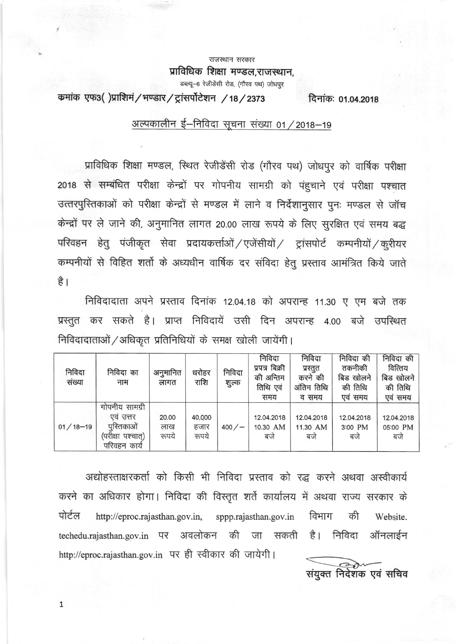राजस्थान सरकार<br>**प्राविधिक शिक्षा मण्डल,राजस्थान,** डब्ल्यू-6 रेजीडेंसी रोड, (गौरव पथ) जोधपुर

कमांक एफ3()प्राशिमं / भण्डार / ट्रांसर्पोटेशन / 18 / 2373 दिनांकः 01.04.2018

### अल्पकालीन ई–निविदा सूचना संख्या 01 / 2018-19

प्राविधिक शिक्षा मण्डल, स्थित रेजीडेंसी रोड (गौरव पथ) जोधपुर को वार्षिक परीक्षा 2018 से सम्बंधित परीक्षा केन्द्रों पर गोपनीय सामग्री को पहुचाने एवं परीक्षा पश्चात उत्तरपुरितकाओं को परीक्षा केन्द्रों से मण्डल में लाने व निर्देशानुसार पनः मण्डल से जॉच केन्द्रों पर ले जाने की, अनुमानित लागत 20.00 लाख रूपये के लिए सुरक्षित एवं समय बद्ध परिवहन हेतु पंजीकृत सेवा प्रदायकर्त्ताओं / एजेंसीयों / ट्रांसपोर्ट कम्पनीयों / कुरीयर कम्पनीयों से विहित शर्तो के अध्यधीन वार्षिक दर संविदा हेतु प्रस्ताव आमंत्रित किये जाते है । |

त कर सकते है। प्राप्त निविदायें उसी दिन अपरान्ह 4.00 बजे निविदादाता अपने प्रस्ताव दिनांक 12.04.18 को अपरान्ह 11.30 ए एम बजे तक निविदादाताओं / अधिकृत प्रतिनिधियों के समक्ष खोली जायेंगी।

| निविदा<br>संख्या | निविदा का<br>नाम                                                            | अनुमानित<br>लागत      | धरोहर<br>राशि           | निविदा<br>शुल्क | निविदा<br>प्रपत्र बिक्री<br>की अन्तिम<br>तिथि एवं<br>समय | निविदा<br>प्रस्तुत<br>करने की<br>अंतिम तिथि<br>व समय | निविदा की<br>तकनीकी<br>बिड खोलने<br>की तिथि<br>एवं समय | निविदा की<br>वित्तिय<br>बिड खोलने<br>की तिथि<br>एवं समय |
|------------------|-----------------------------------------------------------------------------|-----------------------|-------------------------|-----------------|----------------------------------------------------------|------------------------------------------------------|--------------------------------------------------------|---------------------------------------------------------|
| $01/18 - 19$     | गोपनीय सामग्री<br>एव उत्तर<br>पुस्तिकाओं<br>(परीक्षा पश्चात)<br>परिवहन काये | 20.00<br>लाख<br>रूपये | 40,000<br>हजार<br>रूपये | 400/            | 12.04.2018<br>10.30 AM<br>बजे                            | 12.04.2018<br>11.30 AM<br>बजे                        | 12.04.2018<br>3:00 PM<br>बर्ज                          | 12.04.2018<br>05:00 PM<br>बजे                           |

अद्योहस्ताक्षरकर्ता को किसी भी निविदा प्रस्ताव को रद्ध करने अथवा अस्वीकार्य करने का अधिकार होगा। निविदा की विस्तृत शर्ते कार्यालय में अथवा राज्य सरकार के पोर्टल http://eproc.rajasthan.gov.in, sppp.rajasthan.gov.in विभाग की Website. techedu.rajasthan.gov.in पर अवलोकन की जा सकती है। निविदा ऑनलाईन http://eproc.rajasthan.gov.in पर ही स्वीकार की जायेगी। "宙

1

संयुक्त निर्देशक एवं सचिव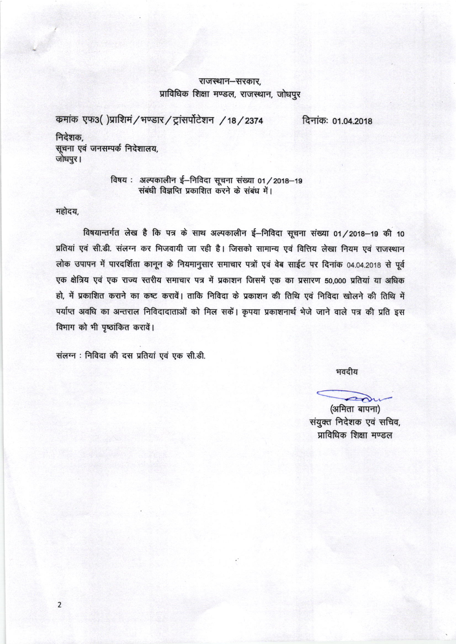#### राजस्थान–सरकार. प्राविधिक शिक्षा मण्डल, राजस्थान, जोधपुर

कमांक एफ3()प्राशिमं / भण्डार / ट्रांसर्पोटेशन / 18 / 2374 दिनांकः 01.04.2018

निदेशक, सूचना एवं जनसम्पर्क निदेशालय, जोधपुर।

> विषय: अल्पकालीन ई-निविदा सूचना संख्या 01/2018-19 संबंधी विज्ञप्ति प्रकाशित करने के संबंध में।

महोदय,

विषयान्तर्गत लेख है कि पत्र के साथ अल्पकालीन ई–निविदा सूचना संख्या 01/2018-19 की 10 प्रतियां एवं सी.डी. संलग्न कर भिजवायी जा रही है। जिसको सामान्य एवं वित्तिय लेखा नियम एवं राजस्थान लोक उपापन में पारदर्शिता कानून के नियमानुसार समाचार पत्रों एवं वेब साईट पर दिनांक 04.04.2018 से पूर्व एक क्षेत्रिय एवं एक राज्य स्तरीय समाचार पत्र में प्रकाशन जिसमें एक का प्रसारण 50,000 प्रतियां या अधिक हो, में प्रकाशित कराने का कष्ट करावें। ताकि निविदा के प्रकाशन की तिथि एवं निविदा खोलने की तिथि में पर्याप्त अवधि का अन्तराल निविदादाताओं को मिल सकें। कृपया प्रकाशनार्थ भेजे जाने वाले पत्र की प्रति इस विभाग को भी पृष्ठांकित करावें।

संलग्न : निविदा की दस प्रतियां एवं एक सी.डी.

भवदीय

(अमिता बापना)<br>संयुक्त निदेशक एवं सचिव, प्राविधिक शिक्षा मण्डल